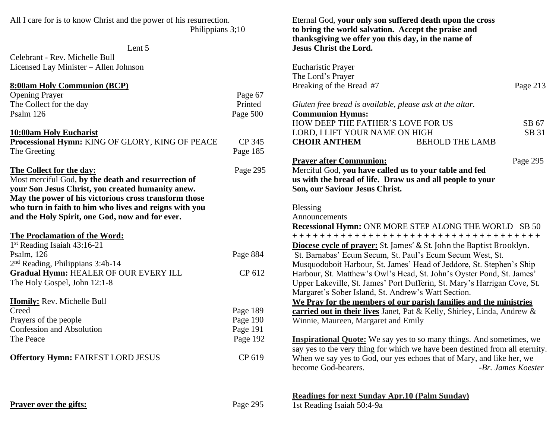| All I care for is to know Christ and the power of his resurrection.<br>Philippians 3;10 |          | Eternal God, your only son suffered death upon the cross<br>to bring the world salvation. Accept the praise and |          |
|-----------------------------------------------------------------------------------------|----------|-----------------------------------------------------------------------------------------------------------------|----------|
| Lent 5                                                                                  |          | thanksgiving we offer you this day, in the name of<br><b>Jesus Christ the Lord.</b>                             |          |
| Celebrant - Rev. Michelle Bull                                                          |          |                                                                                                                 |          |
| Licensed Lay Minister - Allen Johnson                                                   |          | <b>Eucharistic Prayer</b><br>The Lord's Prayer                                                                  |          |
| <b>8:00am Holy Communion (BCP)</b>                                                      |          | Breaking of the Bread #7                                                                                        | Page 213 |
| <b>Opening Prayer</b>                                                                   | Page 67  |                                                                                                                 |          |
| The Collect for the day                                                                 | Printed  | Gluten free bread is available, please ask at the altar.                                                        |          |
| Psalm 126                                                                               | Page 500 | <b>Communion Hymns:</b>                                                                                         |          |
|                                                                                         |          | HOW DEEP THE FATHER'S LOVE FOR US                                                                               | SB 67    |
| 10:00am Holy Eucharist                                                                  |          | LORD, I LIFT YOUR NAME ON HIGH                                                                                  | SB 31    |
| Processional Hymn: KING OF GLORY, KING OF PEACE                                         | CP 345   | <b>CHOIR ANTHEM</b><br><b>BEHOLD THE LAMB</b>                                                                   |          |
| The Greeting                                                                            | Page 185 |                                                                                                                 |          |
|                                                                                         |          | <b>Prayer after Communion:</b>                                                                                  | Page 295 |
| The Collect for the day:                                                                | Page 295 | Merciful God, you have called us to your table and fed                                                          |          |
| Most merciful God, by the death and resurrection of                                     |          | us with the bread of life. Draw us and all people to your                                                       |          |
| your Son Jesus Christ, you created humanity anew.                                       |          | Son, our Saviour Jesus Christ.                                                                                  |          |
| May the power of his victorious cross transform those                                   |          |                                                                                                                 |          |
| who turn in faith to him who lives and reigns with you                                  |          | <b>Blessing</b>                                                                                                 |          |
| and the Holy Spirit, one God, now and for ever.                                         |          | Announcements                                                                                                   |          |
|                                                                                         |          | <b>Recessional Hymn: ONE MORE STEP ALONG THE WORLD SB 50</b>                                                    |          |
| The Proclamation of the Word:                                                           |          | +++++++++++++++++++++++++++++++++++++                                                                           |          |
| 1st Reading Isaiah 43:16-21                                                             |          |                                                                                                                 |          |
| Psalm, 126                                                                              | Page 884 | <b>Diocese cycle of prayer:</b> St. James' & St. John the Baptist Brooklyn.                                     |          |
| $2nd$ Reading, Philippians 3:4b-14                                                      |          | St. Barnabas' Ecum Secum, St. Paul's Ecum Secum West, St.                                                       |          |
| Gradual Hymn: HEALER OF OUR EVERY ILL                                                   | CP 612   | Musquodoboit Harbour, St. James' Head of Jeddore, St. Stephen's Ship                                            |          |
|                                                                                         |          | Harbour, St. Matthew's Owl's Head, St. John's Oyster Pond, St. James'                                           |          |
| The Holy Gospel, John 12:1-8                                                            |          | Upper Lakeville, St. James' Port Dufferin, St. Mary's Harrigan Cove, St.                                        |          |
|                                                                                         |          | Margaret's Sober Island, St. Andrew's Watt Section.                                                             |          |
| Homily: Rev. Michelle Bull<br>Creed                                                     |          | We Pray for the members of our parish families and the ministries                                               |          |
|                                                                                         | Page 189 | carried out in their lives Janet, Pat & Kelly, Shirley, Linda, Andrew &                                         |          |
| Prayers of the people                                                                   | Page 190 | Winnie, Maureen, Margaret and Emily                                                                             |          |
| Confession and Absolution                                                               | Page 191 |                                                                                                                 |          |
| The Peace                                                                               | Page 192 | <b>Inspirational Quote:</b> We say yes to so many things. And sometimes, we                                     |          |
|                                                                                         |          | say yes to the very thing for which we have been destined from all eternity.                                    |          |
| <b>Offertory Hymn: FAIREST LORD JESUS</b>                                               | CP 619   | When we say yes to God, our yes echoes that of Mary, and like her, we                                           |          |
|                                                                                         |          | become God-bearers.<br>-Br. James Koester                                                                       |          |
|                                                                                         |          | <b>Readings for next Sunday Apr.10 (Palm Sunday)</b>                                                            |          |
| <b>Prayer over the gifts:</b>                                                           | Page 295 | 1st Reading Isaiah 50:4-9a                                                                                      |          |
|                                                                                         |          |                                                                                                                 |          |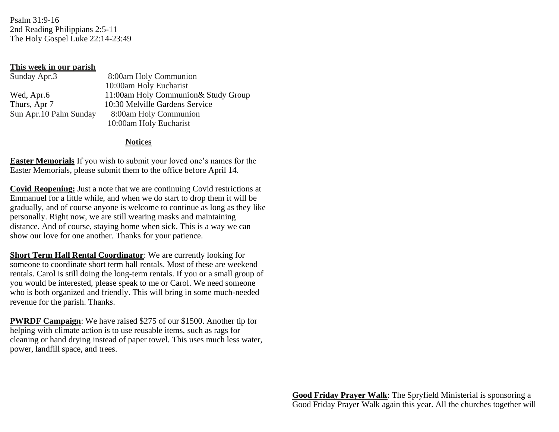Psalm 31:9-16 2nd Reading Philippians 2:5-11 The Holy Gospel Luke 22:14-23:49

## **This week in our parish**

| Sunday Apr.3            | 8:00am Holy Communion                |
|-------------------------|--------------------------------------|
|                         | 10:00am Holy Eucharist               |
| Wed, Apr.6              | 11:00am Holy Communion & Study Group |
| Thurs, Apr 7            | 10:30 Melville Gardens Service       |
| Sun Apr. 10 Palm Sunday | 8:00am Holy Communion                |
|                         | 10:00am Holy Eucharist               |

## **Notices**

**Easter Memorials** If you wish to submit your loved one's names for the Easter Memorials, please submit them to the office before April 14.

**Covid Reopening:** Just a note that we are continuing Covid restrictions at Emmanuel for a little while, and when we do start to drop them it will be gradually, and of course anyone is welcome to continue as long as they like personally. Right now, we are still wearing masks and maintaining distance. And of course, staying home when sick. This is a way we can show our love for one another. Thanks for your patience.

**Short Term Hall Rental Coordinator**: We are currently looking for someone to coordinate short term hall rentals. Most of these are weekend rentals. Carol is still doing the long-term rentals. If you or a small group of you would be interested, please speak to me or Carol. We need someone who is both organized and friendly. This will bring in some much-needed revenue for the parish. Thanks.

**PWRDF Campaign**: We have raised \$275 of our \$1500. Another tip for helping with climate action is to use reusable items, such as rags for cleaning or hand drying instead of paper towel. This uses much less water, power, landfill space, and trees.